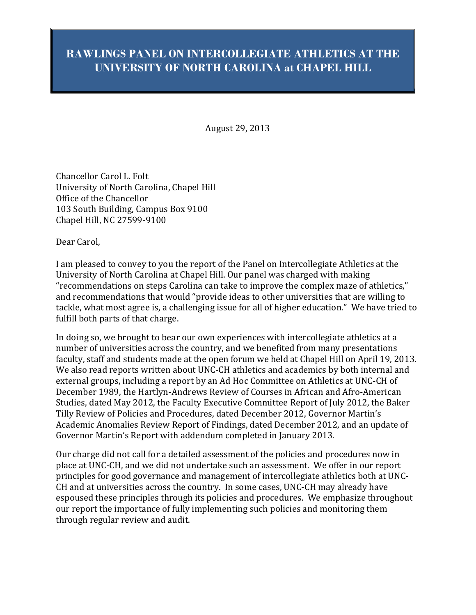# **RAWLINGS PANEL ON INTERCOLLEGIATE ATHLETICS AT THE UNIVERSITY OF NORTH CAROLINA at CHAPEL HILL**

August 29, 2013

Chancellor Carol L. Folt University of North Carolina, Chapel Hill Office of the Chancellor 103 South Building, Campus Box 9100 Chapel Hill, NC 27599-9100

Dear Carol,

I am pleased to convey to you the report of the Panel on Intercollegiate Athletics at the University of North Carolina at Chapel Hill. Our panel was charged with making "recommendations on steps Carolina can take to improve the complex maze of athletics," and recommendations that would "provide ideas to other universities that are willing to tackle, what most agree is, a challenging issue for all of higher education." We have tried to fulfill both parts of that charge.

In doing so, we brought to bear our own experiences with intercollegiate athletics at a number of universities across the country, and we benefited from many presentations faculty, staff and students made at the open forum we held at Chapel Hill on April 19, 2013. We also read reports written about UNC-CH athletics and academics by both internal and external groups, including a report by an Ad Hoc Committee on Athletics at UNC-CH of December 1989, the Hartlyn-Andrews Review of Courses in African and Afro-American Studies, dated May 2012, the Faculty Executive Committee Report of July 2012, the Baker Tilly Review of Policies and Procedures, dated December 2012, Governor Martin's Academic Anomalies Review Report of Findings, dated December 2012, and an update of Governor Martin's Report with addendum completed in January 2013.

Our charge did not call for a detailed assessment of the policies and procedures now in place at UNC-CH, and we did not undertake such an assessment. We offer in our report principles for good governance and management of intercollegiate athletics both at UNC-CH and at universities across the country. In some cases, UNC-CH may already have espoused these principles through its policies and procedures. We emphasize throughout our report the importance of fully implementing such policies and monitoring them through regular review and audit.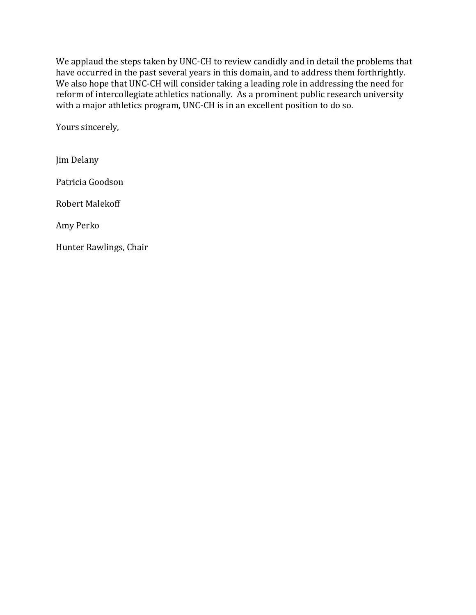We applaud the steps taken by UNC-CH to review candidly and in detail the problems that have occurred in the past several years in this domain, and to address them forthrightly. We also hope that UNC-CH will consider taking a leading role in addressing the need for reform of intercollegiate athletics nationally. As a prominent public research university with a major athletics program, UNC-CH is in an excellent position to do so.

Yours sincerely,

Jim Delany Patricia Goodson Robert Malekoff Amy Perko Hunter Rawlings, Chair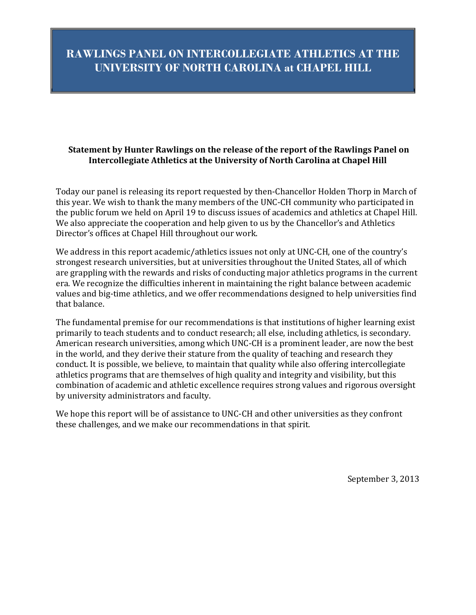# **RAWLINGS PANEL ON INTERCOLLEGIATE ATHLETICS AT THE UNIVERSITY OF NORTH CAROLINA at CHAPEL HILL**

## **Statement by Hunter Rawlings on the release of the report of the Rawlings Panel on Intercollegiate Athletics at the University of North Carolina at Chapel Hill**

Today our panel is releasing its report requested by then-Chancellor Holden Thorp in March of this year. We wish to thank the many members of the UNC-CH community who participated in the public forum we held on April 19 to discuss issues of academics and athletics at Chapel Hill. We also appreciate the cooperation and help given to us by the Chancellor's and Athletics Director's offices at Chapel Hill throughout our work.

We address in this report academic/athletics issues not only at UNC-CH, one of the country's strongest research universities, but at universities throughout the United States, all of which are grappling with the rewards and risks of conducting major athletics programs in the current era. We recognize the difficulties inherent in maintaining the right balance between academic values and big-time athletics, and we offer recommendations designed to help universities find that balance.

The fundamental premise for our recommendations is that institutions of higher learning exist primarily to teach students and to conduct research; all else, including athletics, is secondary. American research universities, among which UNC-CH is a prominent leader, are now the best in the world, and they derive their stature from the quality of teaching and research they conduct. It is possible, we believe, to maintain that quality while also offering intercollegiate athletics programs that are themselves of high quality and integrity and visibility, but this combination of academic and athletic excellence requires strong values and rigorous oversight by university administrators and faculty.

We hope this report will be of assistance to UNC-CH and other universities as they confront these challenges, and we make our recommendations in that spirit.

September 3, 2013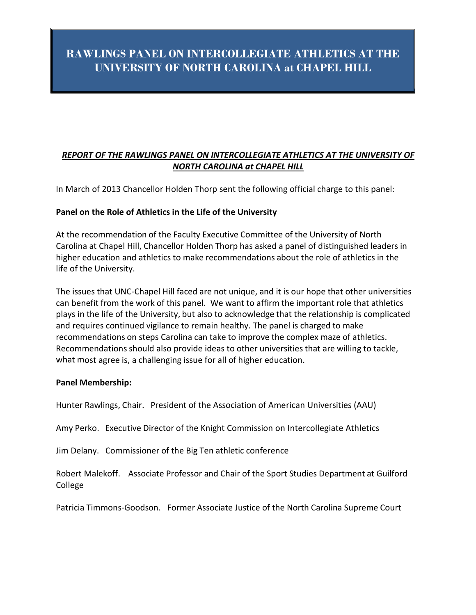# **RAWLINGS PANEL ON INTERCOLLEGIATE ATHLETICS AT THE UNIVERSITY OF NORTH CAROLINA at CHAPEL HILL**

# *REPORT OF THE RAWLINGS PANEL ON INTERCOLLEGIATE ATHLETICS AT THE UNIVERSITY OF NORTH CAROLINA at CHAPEL HILL*

In March of 2013 Chancellor Holden Thorp sent the following official charge to this panel:

### **Panel on the Role of Athletics in the Life of the University**

At the recommendation of the Faculty Executive Committee of the University of North Carolina at Chapel Hill, Chancellor Holden Thorp has asked a panel of distinguished leaders in higher education and athletics to make recommendations about the role of athletics in the life of the University.

The issues that UNC-Chapel Hill faced are not unique, and it is our hope that other universities can benefit from the work of this panel. We want to affirm the important role that athletics plays in the life of the University, but also to acknowledge that the relationship is complicated and requires continued vigilance to remain healthy. The panel is charged to make recommendations on steps Carolina can take to improve the complex maze of athletics. Recommendationsshould also provide ideas to other universities that are willing to tackle, what most agree is, a challenging issue for all of higher education.

#### **Panel Membership:**

Hunter Rawlings, Chair. President of the Association of American Universities (AAU)

Amy Perko. Executive Director of the Knight Commission on Intercollegiate Athletics

Jim Delany. Commissioner of the Big Ten athletic conference

Robert Malekoff. Associate Professor and Chair of the Sport Studies Department at Guilford College

Patricia Timmons-Goodson. Former Associate Justice of the North Carolina Supreme Court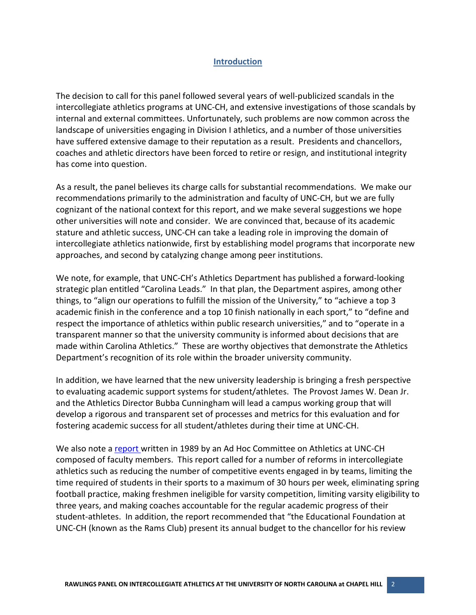### **Introduction**

The decision to call for this panel followed several years of well-publicized scandals in the intercollegiate athletics programs at UNC-CH, and extensive investigations of those scandals by internal and external committees. Unfortunately, such problems are now common across the landscape of universities engaging in Division I athletics, and a number of those universities have suffered extensive damage to their reputation as a result. Presidents and chancellors, coaches and athletic directors have been forced to retire or resign, and institutional integrity has come into question.

As a result, the panel believes its charge calls for substantial recommendations. We make our recommendations primarily to the administration and faculty of UNC-CH, but we are fully cognizant of the national context for this report, and we make several suggestions we hope other universities will note and consider. We are convinced that, because of its academic stature and athletic success, UNC-CH can take a leading role in improving the domain of intercollegiate athletics nationwide, first by establishing model programs that incorporate new approaches, and second by catalyzing change among peer institutions.

We note, for example, that UNC-CH's Athletics Department has published a forward-looking strategic plan entitled "Carolina Leads." In that plan, the Department aspires, among other things, to "align our operations to fulfill the mission of the University," to "achieve a top 3 academic finish in the conference and a top 10 finish nationally in each sport," to "define and respect the importance of athletics within public research universities," and to "operate in a transparent manner so that the university community is informed about decisions that are made within Carolina Athletics." These are worthy objectives that demonstrate the Athletics Department's recognition of its role within the broader university community.

In addition, we have learned that the new university leadership is bringing a fresh perspective to evaluating academic support systems for student/athletes. The Provost James W. Dean Jr. and the Athletics Director Bubba Cunningham will lead a campus working group that will develop a rigorous and transparent set of processes and metrics for this evaluation and for fostering academic success for all student/athletes during their time at UNC-CH.

We also note a [report](http://tinyurl.com/ndc5fco) written in 1989 by an Ad Hoc Committee on Athletics at UNC-CH composed of faculty members. This report called for a number of reforms in intercollegiate athletics such as reducing the number of competitive events engaged in by teams, limiting the time required of students in their sports to a maximum of 30 hours per week, eliminating spring football practice, making freshmen ineligible for varsity competition, limiting varsity eligibility to three years, and making coaches accountable for the regular academic progress of their student-athletes. In addition, the report recommended that "the Educational Foundation at UNC-CH (known as the Rams Club) present its annual budget to the chancellor for his review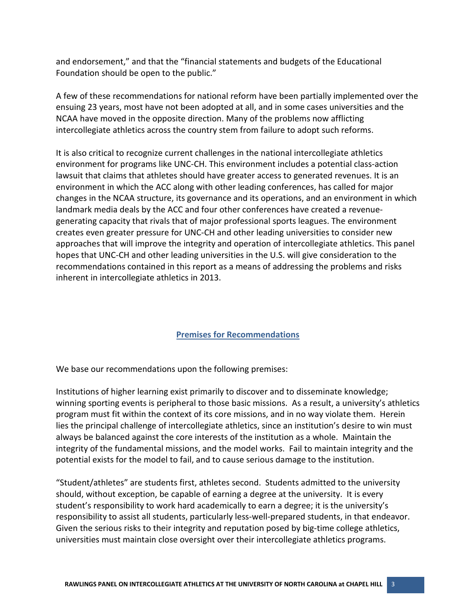and endorsement," and that the "financial statements and budgets of the Educational Foundation should be open to the public."

A few of these recommendations for national reform have been partially implemented over the ensuing 23 years, most have not been adopted at all, and in some cases universities and the NCAA have moved in the opposite direction. Many of the problems now afflicting intercollegiate athletics across the country stem from failure to adopt such reforms.

It is also critical to recognize current challenges in the national intercollegiate athletics environment for programs like UNC-CH. This environment includes a potential class-action lawsuit that claims that athletes should have greater access to generated revenues. It is an environment in which the ACC along with other leading conferences, has called for major changes in the NCAA structure, its governance and its operations, and an environment in which landmark media deals by the ACC and four other conferences have created a revenuegenerating capacity that rivals that of major professional sports leagues. The environment creates even greater pressure for UNC-CH and other leading universities to consider new approaches that will improve the integrity and operation of intercollegiate athletics. This panel hopes that UNC-CH and other leading universities in the U.S. will give consideration to the recommendations contained in this report as a means of addressing the problems and risks inherent in intercollegiate athletics in 2013.

#### **Premises for Recommendations**

We base our recommendations upon the following premises:

Institutions of higher learning exist primarily to discover and to disseminate knowledge; winning sporting events is peripheral to those basic missions. As a result, a university's athletics program must fit within the context of its core missions, and in no way violate them. Herein lies the principal challenge of intercollegiate athletics, since an institution's desire to win must always be balanced against the core interests of the institution as a whole. Maintain the integrity of the fundamental missions, and the model works. Fail to maintain integrity and the potential exists for the model to fail, and to cause serious damage to the institution.

"Student/athletes" are students first, athletes second. Students admitted to the university should, without exception, be capable of earning a degree at the university. It is every student's responsibility to work hard academically to earn a degree; it is the university's responsibility to assist all students, particularly less-well-prepared students, in that endeavor. Given the serious risks to their integrity and reputation posed by big-time college athletics, universities must maintain close oversight over their intercollegiate athletics programs.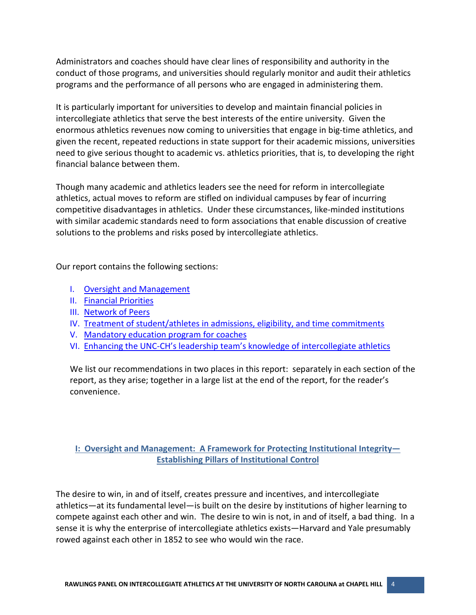Administrators and coaches should have clear lines of responsibility and authority in the conduct of those programs, and universities should regularly monitor and audit their athletics programs and the performance of all persons who are engaged in administering them.

It is particularly important for universities to develop and maintain financial policies in intercollegiate athletics that serve the best interests of the entire university. Given the enormous athletics revenues now coming to universities that engage in big-time athletics, and given the recent, repeated reductions in state support for their academic missions, universities need to give serious thought to academic vs. athletics priorities, that is, to developing the right financial balance between them.

Though many academic and athletics leaders see the need for reform in intercollegiate athletics, actual moves to reform are stifled on individual campuses by fear of incurring competitive disadvantages in athletics. Under these circumstances, like-minded institutions with similar academic standards need to form associations that enable discussion of creative solutions to the problems and risks posed by intercollegiate athletics.

Our report contains the following sections:

- I. [Oversight and Management](#page-6-0)
- II. [Financial Priorities](#page-10-0)
- III. [Network of Peers](#page-12-0)
- IV. [Treatment of student/athletes in admissions, eligibility, and time commitments](#page-15-0)
- V. [Mandatory education program for coaches](#page-16-0)
- VI. [Enhancing the UNC-CH's leadership team's knowledge of intercollegiate athletics](#page-18-0)

We list our recommendations in two places in this report: separately in each section of the report, as they arise; together in a large list at the end of the report, for the reader's convenience.

# <span id="page-6-0"></span>**I: Oversight and Management: A Framework for Protecting Institutional Integrity— Establishing Pillars of Institutional Control**

The desire to win, in and of itself, creates pressure and incentives, and intercollegiate athletics—at its fundamental level—is built on the desire by institutions of higher learning to compete against each other and win. The desire to win is not, in and of itself, a bad thing. In a sense it is why the enterprise of intercollegiate athletics exists—Harvard and Yale presumably rowed against each other in 1852 to see who would win the race.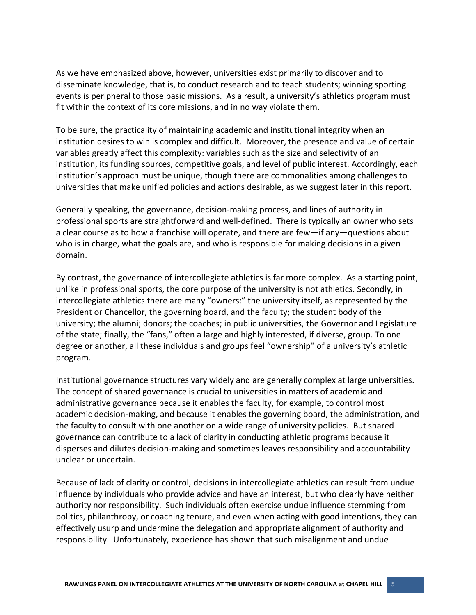As we have emphasized above, however, universities exist primarily to discover and to disseminate knowledge, that is, to conduct research and to teach students; winning sporting events is peripheral to those basic missions. As a result, a university's athletics program must fit within the context of its core missions, and in no way violate them.

To be sure, the practicality of maintaining academic and institutional integrity when an institution desires to win is complex and difficult. Moreover, the presence and value of certain variables greatly affect this complexity: variables such as the size and selectivity of an institution, its funding sources, competitive goals, and level of public interest. Accordingly, each institution's approach must be unique, though there are commonalities among challenges to universities that make unified policies and actions desirable, as we suggest later in this report.

Generally speaking, the governance, decision-making process, and lines of authority in professional sports are straightforward and well-defined. There is typically an owner who sets a clear course as to how a franchise will operate, and there are few—if any—questions about who is in charge, what the goals are, and who is responsible for making decisions in a given domain.

By contrast, the governance of intercollegiate athletics is far more complex. As a starting point, unlike in professional sports, the core purpose of the university is not athletics. Secondly, in intercollegiate athletics there are many "owners:" the university itself, as represented by the President or Chancellor, the governing board, and the faculty; the student body of the university; the alumni; donors; the coaches; in public universities, the Governor and Legislature of the state; finally, the "fans," often a large and highly interested, if diverse, group. To one degree or another, all these individuals and groups feel "ownership" of a university's athletic program.

Institutional governance structures vary widely and are generally complex at large universities. The concept of shared governance is crucial to universities in matters of academic and administrative governance because it enables the faculty, for example, to control most academic decision-making, and because it enables the governing board, the administration, and the faculty to consult with one another on a wide range of university policies. But shared governance can contribute to a lack of clarity in conducting athletic programs because it disperses and dilutes decision-making and sometimes leaves responsibility and accountability unclear or uncertain.

Because of lack of clarity or control, decisions in intercollegiate athletics can result from undue influence by individuals who provide advice and have an interest, but who clearly have neither authority nor responsibility. Such individuals often exercise undue influence stemming from politics, philanthropy, or coaching tenure, and even when acting with good intentions, they can effectively usurp and undermine the delegation and appropriate alignment of authority and responsibility. Unfortunately, experience has shown that such misalignment and undue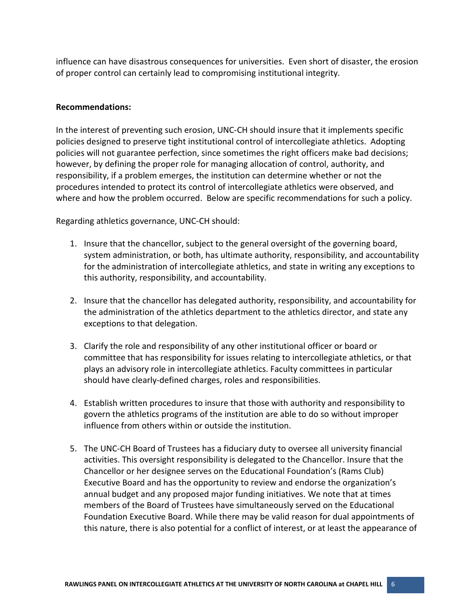influence can have disastrous consequences for universities. Even short of disaster, the erosion of proper control can certainly lead to compromising institutional integrity.

#### **Recommendations:**

In the interest of preventing such erosion, UNC-CH should insure that it implements specific policies designed to preserve tight institutional control of intercollegiate athletics. Adopting policies will not guarantee perfection, since sometimes the right officers make bad decisions; however, by defining the proper role for managing allocation of control, authority, and responsibility, if a problem emerges, the institution can determine whether or not the procedures intended to protect its control of intercollegiate athletics were observed, and where and how the problem occurred. Below are specific recommendations for such a policy.

Regarding athletics governance, UNC-CH should:

- 1. Insure that the chancellor, subject to the general oversight of the governing board, system administration, or both, has ultimate authority, responsibility, and accountability for the administration of intercollegiate athletics, and state in writing any exceptions to this authority, responsibility, and accountability.
- 2. Insure that the chancellor has delegated authority, responsibility, and accountability for the administration of the athletics department to the athletics director, and state any exceptions to that delegation.
- 3. Clarify the role and responsibility of any other institutional officer or board or committee that has responsibility for issues relating to intercollegiate athletics, or that plays an advisory role in intercollegiate athletics. Faculty committees in particular should have clearly-defined charges, roles and responsibilities.
- 4. Establish written procedures to insure that those with authority and responsibility to govern the athletics programs of the institution are able to do so without improper influence from others within or outside the institution.
- 5. The UNC-CH Board of Trustees has a fiduciary duty to oversee all university financial activities. This oversight responsibility is delegated to the Chancellor. Insure that the Chancellor or her designee serves on the Educational Foundation's (Rams Club) Executive Board and has the opportunity to review and endorse the organization's annual budget and any proposed major funding initiatives. We note that at times members of the Board of Trustees have simultaneously served on the Educational Foundation Executive Board. While there may be valid reason for dual appointments of this nature, there is also potential for a conflict of interest, or at least the appearance of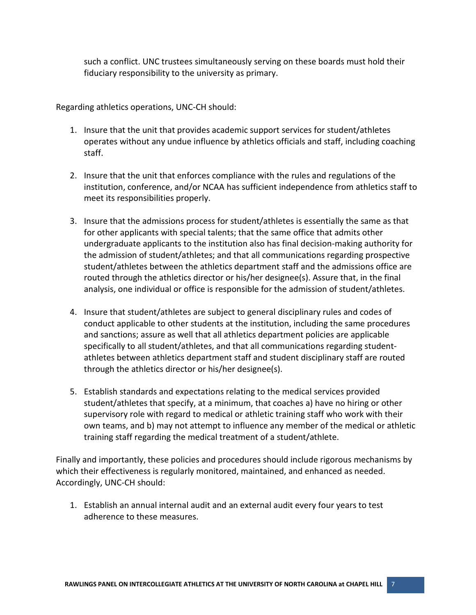such a conflict. UNC trustees simultaneously serving on these boards must hold their fiduciary responsibility to the university as primary.

Regarding athletics operations, UNC-CH should:

- 1. Insure that the unit that provides academic support services for student/athletes operates without any undue influence by athletics officials and staff, including coaching staff.
- 2. Insure that the unit that enforces compliance with the rules and regulations of the institution, conference, and/or NCAA has sufficient independence from athletics staff to meet its responsibilities properly.
- 3. Insure that the admissions process for student/athletes is essentially the same as that for other applicants with special talents; that the same office that admits other undergraduate applicants to the institution also has final decision-making authority for the admission of student/athletes; and that all communications regarding prospective student/athletes between the athletics department staff and the admissions office are routed through the athletics director or his/her designee(s). Assure that, in the final analysis, one individual or office is responsible for the admission of student/athletes.
- 4. Insure that student/athletes are subject to general disciplinary rules and codes of conduct applicable to other students at the institution, including the same procedures and sanctions; assure as well that all athletics department policies are applicable specifically to all student/athletes, and that all communications regarding studentathletes between athletics department staff and student disciplinary staff are routed through the athletics director or his/her designee(s).
- 5. Establish standards and expectations relating to the medical services provided student/athletes that specify, at a minimum, that coaches a) have no hiring or other supervisory role with regard to medical or athletic training staff who work with their own teams, and b) may not attempt to influence any member of the medical or athletic training staff regarding the medical treatment of a student/athlete.

Finally and importantly, these policies and procedures should include rigorous mechanisms by which their effectiveness is regularly monitored, maintained, and enhanced as needed. Accordingly, UNC-CH should:

1. Establish an annual internal audit and an external audit every four years to test adherence to these measures.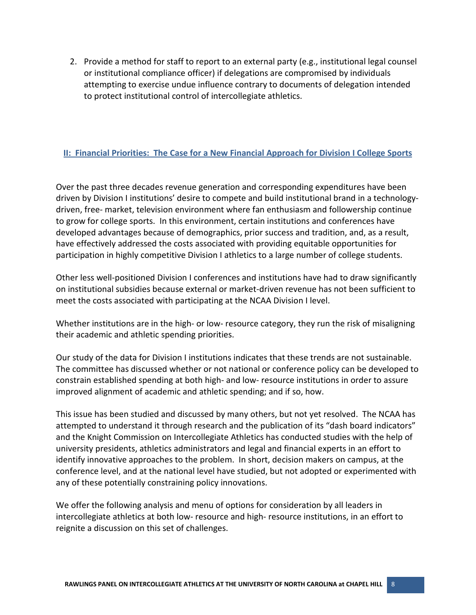2. Provide a method for staff to report to an external party (e.g., institutional legal counsel or institutional compliance officer) if delegations are compromised by individuals attempting to exercise undue influence contrary to documents of delegation intended to protect institutional control of intercollegiate athletics.

### <span id="page-10-0"></span>**II: Financial Priorities: The Case for a New Financial Approach for Division I College Sports**

Over the past three decades revenue generation and corresponding expenditures have been driven by Division I institutions' desire to compete and build institutional brand in a technologydriven, free- market, television environment where fan enthusiasm and followership continue to grow for college sports. In this environment, certain institutions and conferences have developed advantages because of demographics, prior success and tradition, and, as a result, have effectively addressed the costs associated with providing equitable opportunities for participation in highly competitive Division I athletics to a large number of college students.

Other less well-positioned Division I conferences and institutions have had to draw significantly on institutional subsidies because external or market-driven revenue has not been sufficient to meet the costs associated with participating at the NCAA Division I level.

Whether institutions are in the high- or low- resource category, they run the risk of misaligning their academic and athletic spending priorities.

Our study of the data for Division I institutions indicates that these trends are not sustainable. The committee has discussed whether or not national or conference policy can be developed to constrain established spending at both high- and low- resource institutions in order to assure improved alignment of academic and athletic spending; and if so, how.

This issue has been studied and discussed by many others, but not yet resolved. The NCAA has attempted to understand it through research and the publication of its "dash board indicators" and the Knight Commission on Intercollegiate Athletics has conducted studies with the help of university presidents, athletics administrators and legal and financial experts in an effort to identify innovative approaches to the problem. In short, decision makers on campus, at the conference level, and at the national level have studied, but not adopted or experimented with any of these potentially constraining policy innovations.

We offer the following analysis and menu of options for consideration by all leaders in intercollegiate athletics at both low- resource and high- resource institutions, in an effort to reignite a discussion on this set of challenges.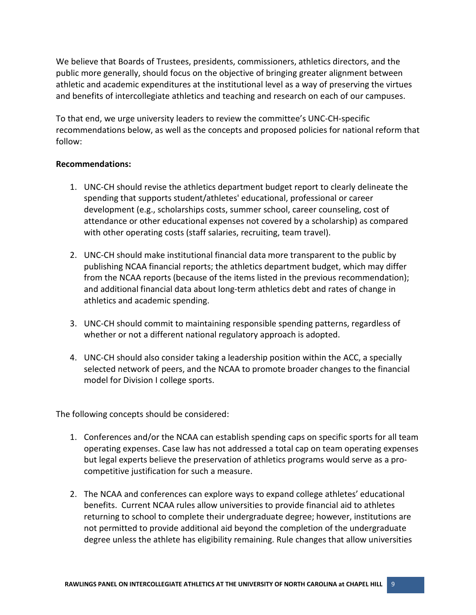We believe that Boards of Trustees, presidents, commissioners, athletics directors, and the public more generally, should focus on the objective of bringing greater alignment between athletic and academic expenditures at the institutional level as a way of preserving the virtues and benefits of intercollegiate athletics and teaching and research on each of our campuses.

To that end, we urge university leaders to review the committee's UNC-CH-specific recommendations below, as well as the concepts and proposed policies for national reform that follow:

#### **Recommendations:**

- 1. UNC-CH should revise the athletics department budget report to clearly delineate the spending that supports student/athletes' educational, professional or career development (e.g., scholarships costs, summer school, career counseling, cost of attendance or other educational expenses not covered by a scholarship) as compared with other operating costs (staff salaries, recruiting, team travel).
- 2. UNC-CH should make institutional financial data more transparent to the public by publishing NCAA financial reports; the athletics department budget, which may differ from the NCAA reports (because of the items listed in the previous recommendation); and additional financial data about long-term athletics debt and rates of change in athletics and academic spending.
- 3. UNC-CH should commit to maintaining responsible spending patterns, regardless of whether or not a different national regulatory approach is adopted.
- 4. UNC-CH should also consider taking a leadership position within the ACC, a specially selected network of peers, and the NCAA to promote broader changes to the financial model for Division I college sports.

The following concepts should be considered:

- 1. Conferences and/or the NCAA can establish spending caps on specific sports for all team operating expenses. Case law has not addressed a total cap on team operating expenses but legal experts believe the preservation of athletics programs would serve as a procompetitive justification for such a measure.
- 2. The NCAA and conferences can explore ways to expand college athletes' educational benefits. Current NCAA rules allow universities to provide financial aid to athletes returning to school to complete their undergraduate degree; however, institutions are not permitted to provide additional aid beyond the completion of the undergraduate degree unless the athlete has eligibility remaining. Rule changes that allow universities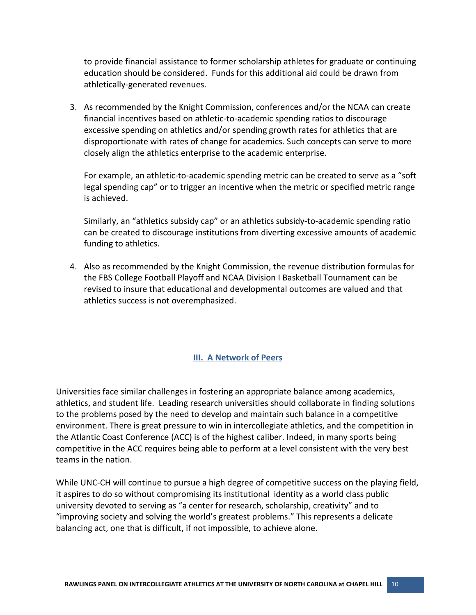to provide financial assistance to former scholarship athletes for graduate or continuing education should be considered. Funds for this additional aid could be drawn from athletically-generated revenues.

3. As recommended by the Knight Commission, conferences and/or the NCAA can create financial incentives based on athletic-to-academic spending ratios to discourage excessive spending on athletics and/or spending growth rates for athletics that are disproportionate with rates of change for academics. Such concepts can serve to more closely align the athletics enterprise to the academic enterprise.

For example, an athletic-to-academic spending metric can be created to serve as a "soft legal spending cap" or to trigger an incentive when the metric or specified metric range is achieved.

Similarly, an "athletics subsidy cap" or an athletics subsidy-to-academic spending ratio can be created to discourage institutions from diverting excessive amounts of academic funding to athletics.

4. Also as recommended by the Knight Commission, the revenue distribution formulas for the FBS College Football Playoff and NCAA Division I Basketball Tournament can be revised to insure that educational and developmental outcomes are valued and that athletics success is not overemphasized.

#### <span id="page-12-0"></span>**III. A Network of Peers**

Universities face similar challenges in fostering an appropriate balance among academics, athletics, and student life. Leading research universities should collaborate in finding solutions to the problems posed by the need to develop and maintain such balance in a competitive environment. There is great pressure to win in intercollegiate athletics, and the competition in the Atlantic Coast Conference (ACC) is of the highest caliber. Indeed, in many sports being competitive in the ACC requires being able to perform at a level consistent with the very best teams in the nation.

While UNC-CH will continue to pursue a high degree of competitive success on the playing field, it aspires to do so without compromising its institutional identity as a world class public university devoted to serving as "a center for research, scholarship, creativity" and to "improving society and solving the world's greatest problems." This represents a delicate balancing act, one that is difficult, if not impossible, to achieve alone.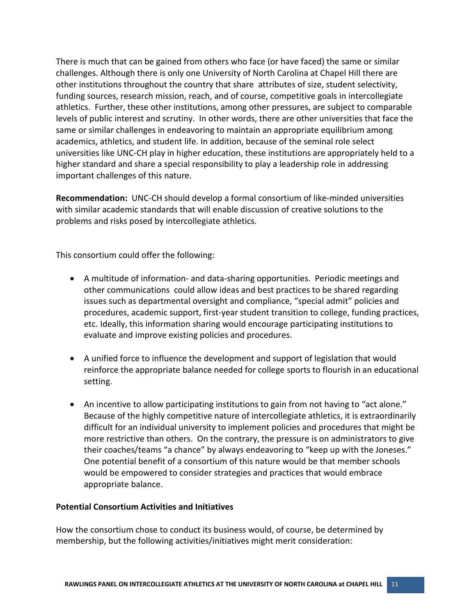There is much that can be gained from others who face (or have faced) the same or similar challenges. Although there is only one University of North Carolina at Chapel Hill there are other institutions throughout the country that share attributes of size, student selectivity, funding sources, research mission, reach, and of course, competitive goals in intercollegiate athletics. Further, these other institutions, among other pressures, are subject to comparable levels of public interest and scrutiny. In other words, there are other universities that face the same or similar challenges in endeavoring to maintain an appropriate equilibrium among academics, athletics, and student life. In addition, because of the seminal role select universities like UNC-CH play in higher education, these institutions are appropriately held to a higher standard and share a special responsibility to play a leadership role in addressing important challenges of this nature.

**Recommendation:** UNC-CH should develop a formal consortium of like-minded universities with similar academic standards that will enable discussion of creative solutions to the problems and risks posed by intercollegiate athletics.

This consortium could offer the following:

- A multitude of information- and data-sharing opportunities. Periodic meetings and other communications could allow ideas and best practices to be shared regarding issues such as departmental oversight and compliance, "special admit" policies and procedures, academic support, first-year student transition to college, funding practices, etc. Ideally, this information sharing would encourage participating institutions to evaluate and improve existing policies and procedures.
- A unified force to influence the development and support of legislation that would reinforce the appropriate balance needed for college sports to flourish in an educational setting.
- An incentive to allow participating institutions to gain from not having to "act alone." Because of the highly competitive nature of intercollegiate athletics, it is extraordinarily difficult for an individual university to implement policies and procedures that might be more restrictive than others. On the contrary, the pressure is on administrators to give their coaches/teams "a chance" by always endeavoring to "keep up with the Joneses." One potential benefit of a consortium of this nature would be that member schools would be empowered to consider strategies and practices that would embrace appropriate balance.

#### **Potential Consortium Activities and Initiatives**

How the consortium chose to conduct its business would, of course, be determined by membership, but the following activities/initiatives might merit consideration: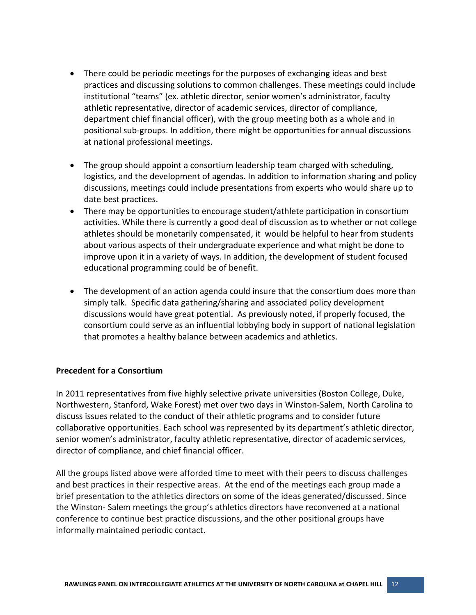- There could be periodic meetings for the purposes of exchanging ideas and best practices and discussing solutions to common challenges. These meetings could include institutional "teams" (ex. athletic director, senior women's administrator, faculty athletic representative, director of academic services, director of compliance, department chief financial officer), with the group meeting both as a whole and in positional sub-groups. In addition, there might be opportunities for annual discussions at national professional meetings.
- The group should appoint a consortium leadership team charged with scheduling, logistics, and the development of agendas. In addition to information sharing and policy discussions, meetings could include presentations from experts who would share up to date best practices.
- There may be opportunities to encourage student/athlete participation in consortium activities. While there is currently a good deal of discussion as to whether or not college athletes should be monetarily compensated, it would be helpful to hear from students about various aspects of their undergraduate experience and what might be done to improve upon it in a variety of ways. In addition, the development of student focused educational programming could be of benefit.
- The development of an action agenda could insure that the consortium does more than simply talk. Specific data gathering/sharing and associated policy development discussions would have great potential. As previously noted, if properly focused, the consortium could serve as an influential lobbying body in support of national legislation that promotes a healthy balance between academics and athletics.

#### **Precedent for a Consortium**

In 2011 representatives from five highly selective private universities (Boston College, Duke, Northwestern, Stanford, Wake Forest) met over two days in Winston-Salem, North Carolina to discuss issues related to the conduct of their athletic programs and to consider future collaborative opportunities. Each school was represented by its department's athletic director, senior women's administrator, faculty athletic representative, director of academic services, director of compliance, and chief financial officer.

All the groups listed above were afforded time to meet with their peers to discuss challenges and best practices in their respective areas. At the end of the meetings each group made a brief presentation to the athletics directors on some of the ideas generated/discussed. Since the Winston- Salem meetings the group's athletics directors have reconvened at a national conference to continue best practice discussions, and the other positional groups have informally maintained periodic contact.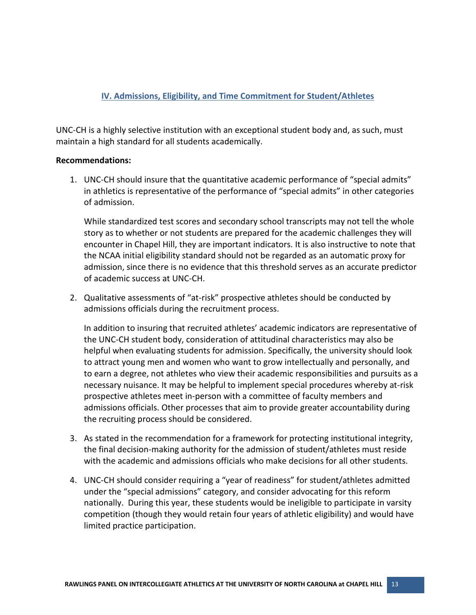## <span id="page-15-0"></span>**IV. Admissions, Eligibility, and Time Commitment for Student/Athletes**

UNC-CH is a highly selective institution with an exceptional student body and, as such, must maintain a high standard for all students academically.

#### **Recommendations:**

1. UNC-CH should insure that the quantitative academic performance of "special admits" in athletics is representative of the performance of "special admits" in other categories of admission.

While standardized test scores and secondary school transcripts may not tell the whole story as to whether or not students are prepared for the academic challenges they will encounter in Chapel Hill, they are important indicators. It is also instructive to note that the NCAA initial eligibility standard should not be regarded as an automatic proxy for admission, since there is no evidence that this threshold serves as an accurate predictor of academic success at UNC-CH.

2. Qualitative assessments of "at-risk" prospective athletes should be conducted by admissions officials during the recruitment process.

In addition to insuring that recruited athletes' academic indicators are representative of the UNC-CH student body, consideration of attitudinal characteristics may also be helpful when evaluating students for admission. Specifically, the university should look to attract young men and women who want to grow intellectually and personally, and to earn a degree, not athletes who view their academic responsibilities and pursuits as a necessary nuisance. It may be helpful to implement special procedures whereby at-risk prospective athletes meet in-person with a committee of faculty members and admissions officials. Other processes that aim to provide greater accountability during the recruiting process should be considered.

- 3. As stated in the recommendation for a framework for protecting institutional integrity, the final decision-making authority for the admission of student/athletes must reside with the academic and admissions officials who make decisions for all other students.
- 4. UNC-CH should consider requiring a "year of readiness" for student/athletes admitted under the "special admissions" category, and consider advocating for this reform nationally. During this year, these students would be ineligible to participate in varsity competition (though they would retain four years of athletic eligibility) and would have limited practice participation.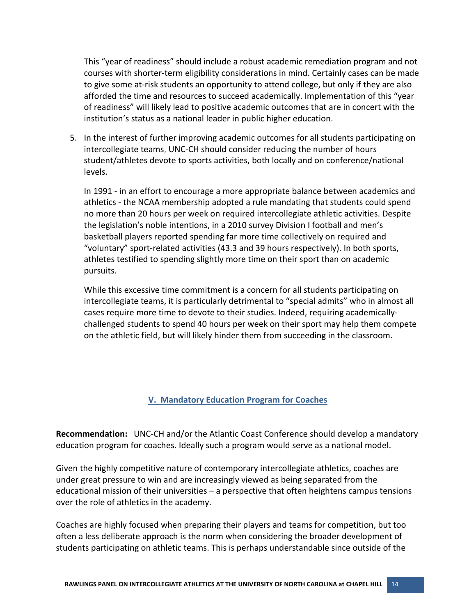This "year of readiness" should include a robust academic remediation program and not courses with shorter-term eligibility considerations in mind. Certainly cases can be made to give some at-risk students an opportunity to attend college, but only if they are also afforded the time and resources to succeed academically. Implementation of this "year of readiness" will likely lead to positive academic outcomes that are in concert with the institution's status as a national leader in public higher education.

5. In the interest of further improving academic outcomes for all students participating on intercollegiate teams, UNC-CH should consider reducing the number of hours student/athletes devote to sports activities, both locally and on conference/national levels.

In 1991 - in an effort to encourage a more appropriate balance between academics and athletics - the NCAA membership adopted a rule mandating that students could spend no more than 20 hours per week on required intercollegiate athletic activities. Despite the legislation's noble intentions, in a 2010 survey Division I football and men's basketball players reported spending far more time collectively on required and "voluntary" sport-related activities (43.3 and 39 hours respectively). In both sports, athletes testified to spending slightly more time on their sport than on academic pursuits.

While this excessive time commitment is a concern for all students participating on intercollegiate teams, it is particularly detrimental to "special admits" who in almost all cases require more time to devote to their studies. Indeed, requiring academicallychallenged students to spend 40 hours per week on their sport may help them compete on the athletic field, but will likely hinder them from succeeding in the classroom.

#### <span id="page-16-0"></span>**V. Mandatory Education Program for Coaches**

**Recommendation:** UNC-CH and/or the Atlantic Coast Conference should develop a mandatory education program for coaches. Ideally such a program would serve as a national model.

Given the highly competitive nature of contemporary intercollegiate athletics, coaches are under great pressure to win and are increasingly viewed as being separated from the educational mission of their universities – a perspective that often heightens campus tensions over the role of athletics in the academy.

Coaches are highly focused when preparing their players and teams for competition, but too often a less deliberate approach is the norm when considering the broader development of students participating on athletic teams. This is perhaps understandable since outside of the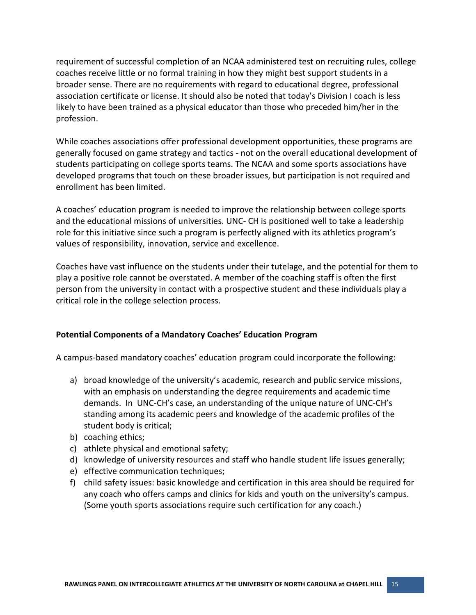requirement of successful completion of an NCAA administered test on recruiting rules, college coaches receive little or no formal training in how they might best support students in a broader sense. There are no requirements with regard to educational degree, professional association certificate or license. It should also be noted that today's Division I coach is less likely to have been trained as a physical educator than those who preceded him/her in the profession.

While coaches associations offer professional development opportunities, these programs are generally focused on game strategy and tactics - not on the overall educational development of students participating on college sports teams. The NCAA and some sports associations have developed programs that touch on these broader issues, but participation is not required and enrollment has been limited.

A coaches' education program is needed to improve the relationship between college sports and the educational missions of universities. UNC- CH is positioned well to take a leadership role for this initiative since such a program is perfectly aligned with its athletics program's values of responsibility, innovation, service and excellence.

Coaches have vast influence on the students under their tutelage, and the potential for them to play a positive role cannot be overstated. A member of the coaching staff is often the first person from the university in contact with a prospective student and these individuals play a critical role in the college selection process.

#### **Potential Components of a Mandatory Coaches' Education Program**

A campus-based mandatory coaches' education program could incorporate the following:

- a) broad knowledge of the university's academic, research and public service missions, with an emphasis on understanding the degree requirements and academic time demands. In UNC-CH's case, an understanding of the unique nature of UNC-CH's standing among its academic peers and knowledge of the academic profiles of the student body is critical;
- b) coaching ethics;
- c) athlete physical and emotional safety;
- d) knowledge of university resources and staff who handle student life issues generally;
- e) effective communication techniques;
- f) child safety issues: basic knowledge and certification in this area should be required for any coach who offers camps and clinics for kids and youth on the university's campus. (Some youth sports associations require such certification for any coach.)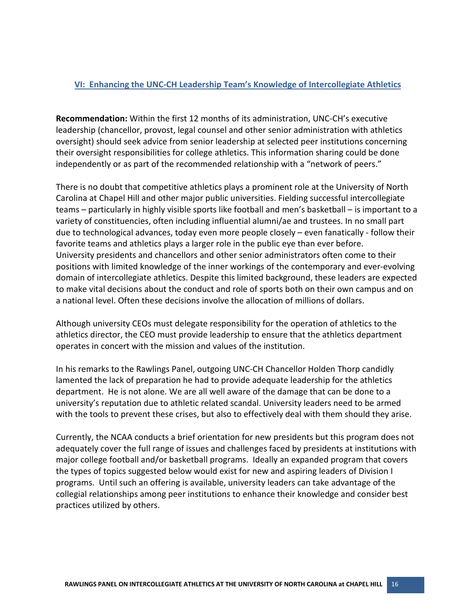#### <span id="page-18-0"></span>**VI: Enhancing the UNC-CH Leadership Team's Knowledge of Intercollegiate Athletics**

**Recommendation:** Within the first 12 months of its administration, UNC-CH's executive leadership (chancellor, provost, legal counsel and other senior administration with athletics oversight) should seek advice from senior leadership at selected peer institutions concerning their oversight responsibilities for college athletics. This information sharing could be done independently or as part of the recommended relationship with a "network of peers."

There is no doubt that competitive athletics plays a prominent role at the University of North Carolina at Chapel Hill and other major public universities. Fielding successful intercollegiate teams – particularly in highly visible sports like football and men's basketball – is important to a variety of constituencies, often including influential alumni/ae and trustees. In no small part due to technological advances, today even more people closely – even fanatically - follow their favorite teams and athletics plays a larger role in the public eye than ever before. University presidents and chancellors and other senior administrators often come to their positions with limited knowledge of the inner workings of the contemporary and ever-evolving domain of intercollegiate athletics. Despite this limited background, these leaders are expected to make vital decisions about the conduct and role of sports both on their own campus and on a national level. Often these decisions involve the allocation of millions of dollars.

Although university CEOs must delegate responsibility for the operation of athletics to the athletics director, the CEO must provide leadership to ensure that the athletics department operates in concert with the mission and values of the institution.

In his remarks to the Rawlings Panel, outgoing UNC-CH Chancellor Holden Thorp candidly lamented the lack of preparation he had to provide adequate leadership for the athletics department. He is not alone. We are all well aware of the damage that can be done to a university's reputation due to athletic related scandal. University leaders need to be armed with the tools to prevent these crises, but also to effectively deal with them should they arise.

Currently, the NCAA conducts a brief orientation for new presidents but this program does not adequately cover the full range of issues and challenges faced by presidents at institutions with major college football and/or basketball programs. Ideally an expanded program that covers the types of topics suggested below would exist for new and aspiring leaders of Division I programs. Until such an offering is available, university leaders can take advantage of the collegial relationships among peer institutions to enhance their knowledge and consider best practices utilized by others.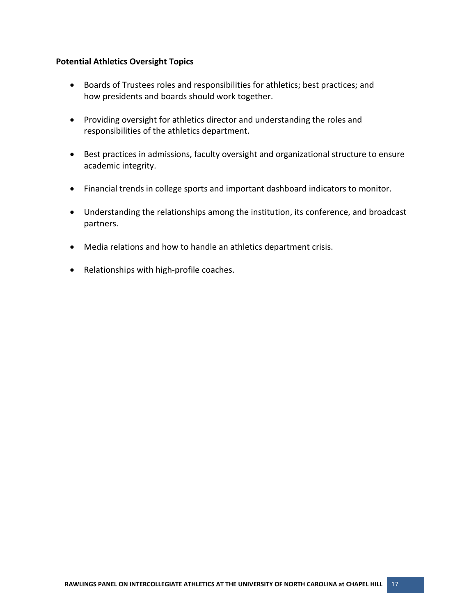#### **Potential Athletics Oversight Topics**

- Boards of Trustees roles and responsibilities for athletics; best practices; and how presidents and boards should work together.
- Providing oversight for athletics director and understanding the roles and responsibilities of the athletics department.
- Best practices in admissions, faculty oversight and organizational structure to ensure academic integrity.
- Financial trends in college sports and important dashboard indicators to monitor.
- Understanding the relationships among the institution, its conference, and broadcast partners.
- Media relations and how to handle an athletics department crisis.
- Relationships with high-profile coaches.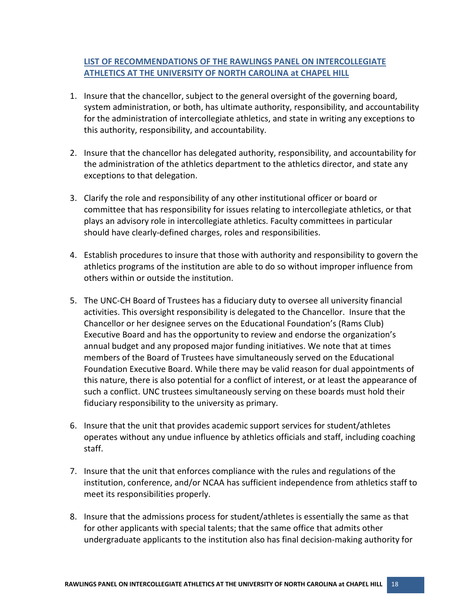## **LIST OF RECOMMENDATIONS OF THE RAWLINGS PANEL ON INTERCOLLEGIATE ATHLETICS AT THE UNIVERSITY OF NORTH CAROLINA at CHAPEL HILL**

- 1. Insure that the chancellor, subject to the general oversight of the governing board, system administration, or both, has ultimate authority, responsibility, and accountability for the administration of intercollegiate athletics, and state in writing any exceptions to this authority, responsibility, and accountability.
- 2. Insure that the chancellor has delegated authority, responsibility, and accountability for the administration of the athletics department to the athletics director, and state any exceptions to that delegation.
- 3. Clarify the role and responsibility of any other institutional officer or board or committee that has responsibility for issues relating to intercollegiate athletics, or that plays an advisory role in intercollegiate athletics. Faculty committees in particular should have clearly-defined charges, roles and responsibilities.
- 4. Establish procedures to insure that those with authority and responsibility to govern the athletics programs of the institution are able to do so without improper influence from others within or outside the institution.
- 5. The UNC-CH Board of Trustees has a fiduciary duty to oversee all university financial activities. This oversight responsibility is delegated to the Chancellor. Insure that the Chancellor or her designee serves on the Educational Foundation's (Rams Club) Executive Board and has the opportunity to review and endorse the organization's annual budget and any proposed major funding initiatives. We note that at times members of the Board of Trustees have simultaneously served on the Educational Foundation Executive Board. While there may be valid reason for dual appointments of this nature, there is also potential for a conflict of interest, or at least the appearance of such a conflict. UNC trustees simultaneously serving on these boards must hold their fiduciary responsibility to the university as primary.
- 6. Insure that the unit that provides academic support services for student/athletes operates without any undue influence by athletics officials and staff, including coaching staff.
- 7. Insure that the unit that enforces compliance with the rules and regulations of the institution, conference, and/or NCAA has sufficient independence from athletics staff to meet its responsibilities properly.
- 8. Insure that the admissions process for student/athletes is essentially the same as that for other applicants with special talents; that the same office that admits other undergraduate applicants to the institution also has final decision-making authority for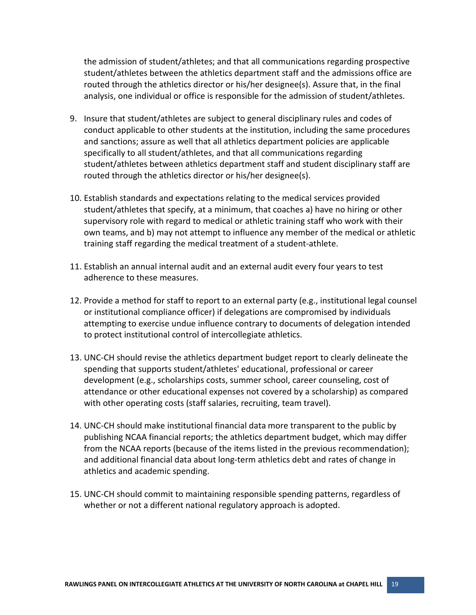the admission of student/athletes; and that all communications regarding prospective student/athletes between the athletics department staff and the admissions office are routed through the athletics director or his/her designee(s). Assure that, in the final analysis, one individual or office is responsible for the admission of student/athletes.

- 9. Insure that student/athletes are subject to general disciplinary rules and codes of conduct applicable to other students at the institution, including the same procedures and sanctions; assure as well that all athletics department policies are applicable specifically to all student/athletes, and that all communications regarding student/athletes between athletics department staff and student disciplinary staff are routed through the athletics director or his/her designee(s).
- 10. Establish standards and expectations relating to the medical services provided student/athletes that specify, at a minimum, that coaches a) have no hiring or other supervisory role with regard to medical or athletic training staff who work with their own teams, and b) may not attempt to influence any member of the medical or athletic training staff regarding the medical treatment of a student-athlete.
- 11. Establish an annual internal audit and an external audit every four years to test adherence to these measures.
- 12. Provide a method for staff to report to an external party (e.g., institutional legal counsel or institutional compliance officer) if delegations are compromised by individuals attempting to exercise undue influence contrary to documents of delegation intended to protect institutional control of intercollegiate athletics.
- 13. UNC-CH should revise the athletics department budget report to clearly delineate the spending that supports student/athletes' educational, professional or career development (e.g., scholarships costs, summer school, career counseling, cost of attendance or other educational expenses not covered by a scholarship) as compared with other operating costs (staff salaries, recruiting, team travel).
- 14. UNC-CH should make institutional financial data more transparent to the public by publishing NCAA financial reports; the athletics department budget, which may differ from the NCAA reports (because of the items listed in the previous recommendation); and additional financial data about long-term athletics debt and rates of change in athletics and academic spending.
- 15. UNC-CH should commit to maintaining responsible spending patterns, regardless of whether or not a different national regulatory approach is adopted.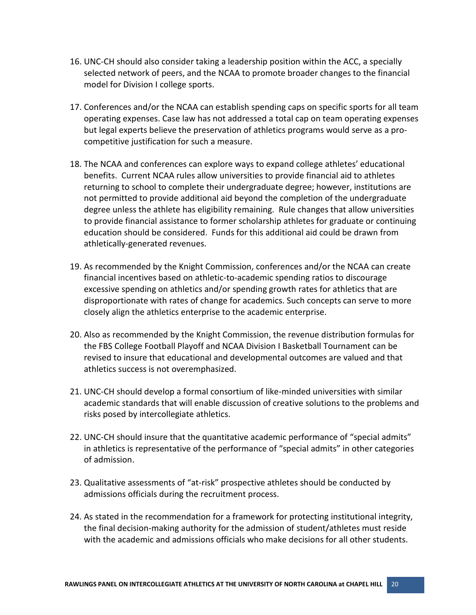- 16. UNC-CH should also consider taking a leadership position within the ACC, a specially selected network of peers, and the NCAA to promote broader changes to the financial model for Division I college sports.
- 17. Conferences and/or the NCAA can establish spending caps on specific sports for all team operating expenses. Case law has not addressed a total cap on team operating expenses but legal experts believe the preservation of athletics programs would serve as a procompetitive justification for such a measure.
- 18. The NCAA and conferences can explore ways to expand college athletes' educational benefits. Current NCAA rules allow universities to provide financial aid to athletes returning to school to complete their undergraduate degree; however, institutions are not permitted to provide additional aid beyond the completion of the undergraduate degree unless the athlete has eligibility remaining. Rule changes that allow universities to provide financial assistance to former scholarship athletes for graduate or continuing education should be considered. Funds for this additional aid could be drawn from athletically-generated revenues.
- 19. As recommended by the Knight Commission, conferences and/or the NCAA can create financial incentives based on athletic-to-academic spending ratios to discourage excessive spending on athletics and/or spending growth rates for athletics that are disproportionate with rates of change for academics. Such concepts can serve to more closely align the athletics enterprise to the academic enterprise.
- 20. Also as recommended by the Knight Commission, the revenue distribution formulas for the FBS College Football Playoff and NCAA Division I Basketball Tournament can be revised to insure that educational and developmental outcomes are valued and that athletics success is not overemphasized.
- 21. UNC-CH should develop a formal consortium of like-minded universities with similar academic standards that will enable discussion of creative solutions to the problems and risks posed by intercollegiate athletics.
- 22. UNC-CH should insure that the quantitative academic performance of "special admits" in athletics is representative of the performance of "special admits" in other categories of admission.
- 23. Qualitative assessments of "at-risk" prospective athletes should be conducted by admissions officials during the recruitment process.
- 24. As stated in the recommendation for a framework for protecting institutional integrity, the final decision-making authority for the admission of student/athletes must reside with the academic and admissions officials who make decisions for all other students.